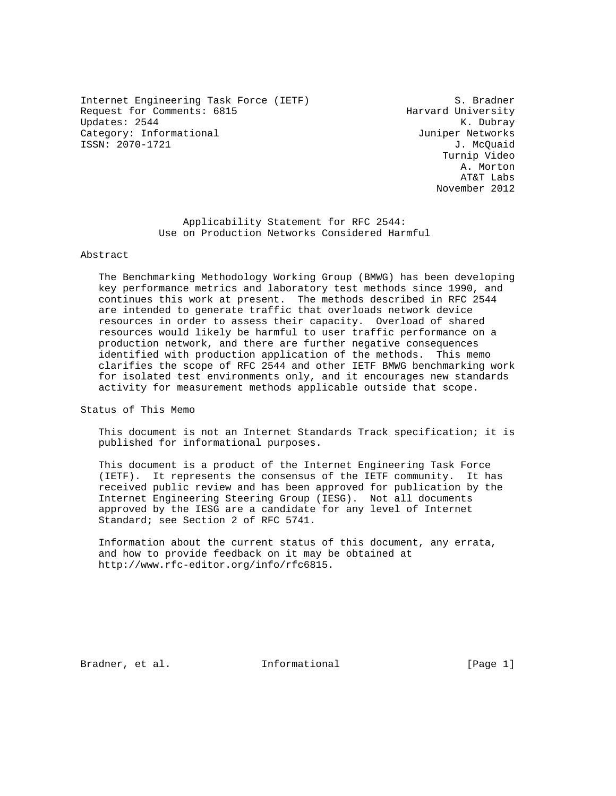Internet Engineering Task Force (IETF) S. Bradner<br>Request for Comments: 6815 Sequest for Comments: 6815 Request for Comments: 6815 Updates: 2544 K. Dubray Category: Informational and Category: Informational and Category: Informational ISSN: 2070-1721 J. McQuaid

 Turnip Video A. Morton AT&T Labs November 2012

 Applicability Statement for RFC 2544: Use on Production Networks Considered Harmful

#### Abstract

 The Benchmarking Methodology Working Group (BMWG) has been developing key performance metrics and laboratory test methods since 1990, and continues this work at present. The methods described in RFC 2544 are intended to generate traffic that overloads network device resources in order to assess their capacity. Overload of shared resources would likely be harmful to user traffic performance on a production network, and there are further negative consequences identified with production application of the methods. This memo clarifies the scope of RFC 2544 and other IETF BMWG benchmarking work for isolated test environments only, and it encourages new standards activity for measurement methods applicable outside that scope.

Status of This Memo

 This document is not an Internet Standards Track specification; it is published for informational purposes.

 This document is a product of the Internet Engineering Task Force (IETF). It represents the consensus of the IETF community. It has received public review and has been approved for publication by the Internet Engineering Steering Group (IESG). Not all documents approved by the IESG are a candidate for any level of Internet Standard; see Section 2 of RFC 5741.

 Information about the current status of this document, any errata, and how to provide feedback on it may be obtained at http://www.rfc-editor.org/info/rfc6815.

Bradner, et al. 100 Informational 100 [Page 1]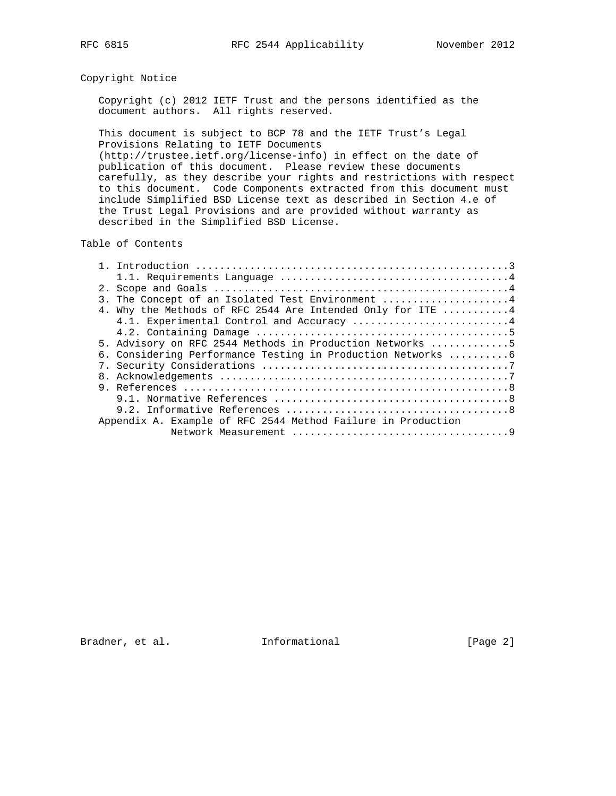## Copyright Notice

 Copyright (c) 2012 IETF Trust and the persons identified as the document authors. All rights reserved.

 This document is subject to BCP 78 and the IETF Trust's Legal Provisions Relating to IETF Documents (http://trustee.ietf.org/license-info) in effect on the date of

 publication of this document. Please review these documents carefully, as they describe your rights and restrictions with respect to this document. Code Components extracted from this document must include Simplified BSD License text as described in Section 4.e of the Trust Legal Provisions and are provided without warranty as described in the Simplified BSD License.

Table of Contents

|  | 3. The Concept of an Isolated Test Environment 4             |  |
|--|--------------------------------------------------------------|--|
|  | 4. Why the Methods of RFC 2544 Are Intended Only for ITE 4   |  |
|  | 4.1. Experimental Control and Accuracy 4                     |  |
|  |                                                              |  |
|  | 5. Advisory on RFC 2544 Methods in Production Networks 5     |  |
|  | 6. Considering Performance Testing in Production Networks  6 |  |
|  |                                                              |  |
|  |                                                              |  |
|  |                                                              |  |
|  |                                                              |  |
|  |                                                              |  |
|  | Appendix A. Example of RFC 2544 Method Failure in Production |  |
|  |                                                              |  |
|  |                                                              |  |

Bradner, et al. 1nformational [Page 2]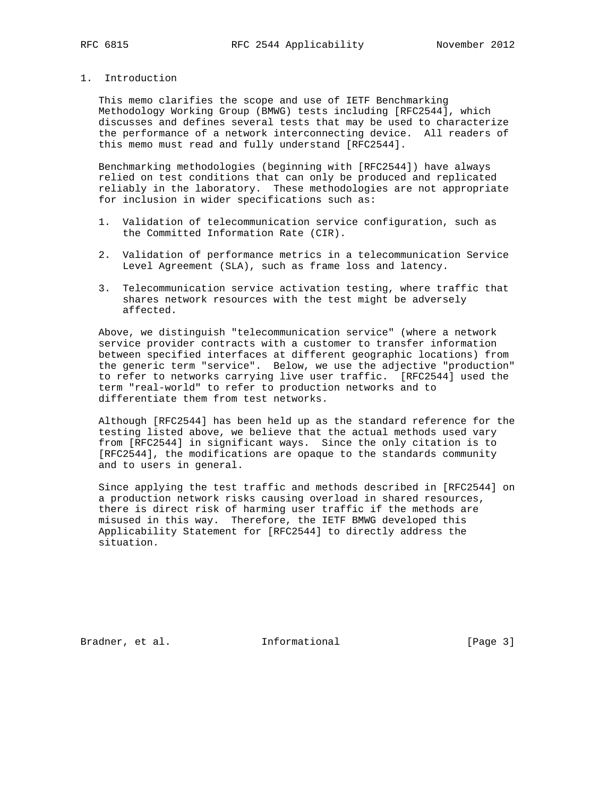### 1. Introduction

 This memo clarifies the scope and use of IETF Benchmarking Methodology Working Group (BMWG) tests including [RFC2544], which discusses and defines several tests that may be used to characterize the performance of a network interconnecting device. All readers of this memo must read and fully understand [RFC2544].

 Benchmarking methodologies (beginning with [RFC2544]) have always relied on test conditions that can only be produced and replicated reliably in the laboratory. These methodologies are not appropriate for inclusion in wider specifications such as:

- 1. Validation of telecommunication service configuration, such as the Committed Information Rate (CIR).
- 2. Validation of performance metrics in a telecommunication Service Level Agreement (SLA), such as frame loss and latency.
- 3. Telecommunication service activation testing, where traffic that shares network resources with the test might be adversely affected.

 Above, we distinguish "telecommunication service" (where a network service provider contracts with a customer to transfer information between specified interfaces at different geographic locations) from the generic term "service". Below, we use the adjective "production" to refer to networks carrying live user traffic. [RFC2544] used the term "real-world" to refer to production networks and to differentiate them from test networks.

 Although [RFC2544] has been held up as the standard reference for the testing listed above, we believe that the actual methods used vary from [RFC2544] in significant ways. Since the only citation is to [RFC2544], the modifications are opaque to the standards community and to users in general.

 Since applying the test traffic and methods described in [RFC2544] on a production network risks causing overload in shared resources, there is direct risk of harming user traffic if the methods are misused in this way. Therefore, the IETF BMWG developed this Applicability Statement for [RFC2544] to directly address the situation.

Bradner, et al. 1nformational [Page 3]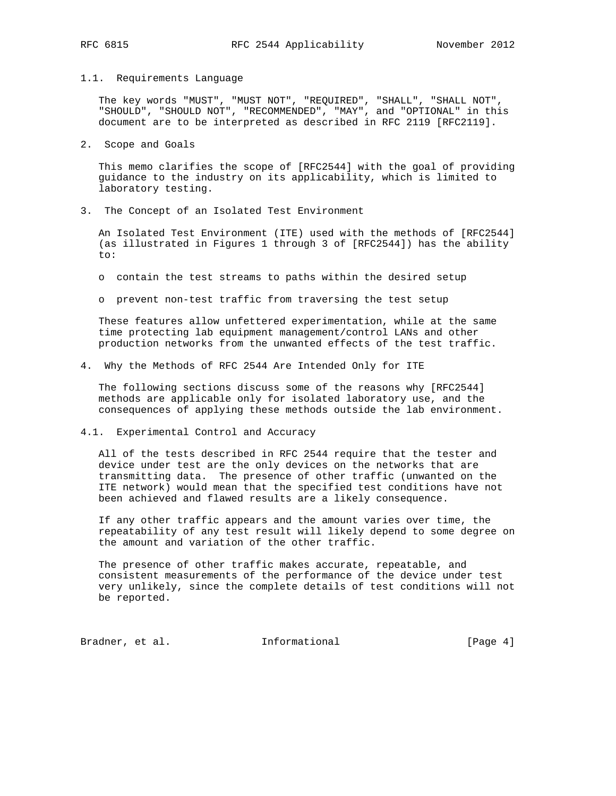#### 1.1. Requirements Language

 The key words "MUST", "MUST NOT", "REQUIRED", "SHALL", "SHALL NOT", "SHOULD", "SHOULD NOT", "RECOMMENDED", "MAY", and "OPTIONAL" in this document are to be interpreted as described in RFC 2119 [RFC2119].

2. Scope and Goals

 This memo clarifies the scope of [RFC2544] with the goal of providing guidance to the industry on its applicability, which is limited to laboratory testing.

3. The Concept of an Isolated Test Environment

 An Isolated Test Environment (ITE) used with the methods of [RFC2544] (as illustrated in Figures 1 through 3 of [RFC2544]) has the ability to:

- o contain the test streams to paths within the desired setup
- o prevent non-test traffic from traversing the test setup

 These features allow unfettered experimentation, while at the same time protecting lab equipment management/control LANs and other production networks from the unwanted effects of the test traffic.

4. Why the Methods of RFC 2544 Are Intended Only for ITE

 The following sections discuss some of the reasons why [RFC2544] methods are applicable only for isolated laboratory use, and the consequences of applying these methods outside the lab environment.

4.1. Experimental Control and Accuracy

 All of the tests described in RFC 2544 require that the tester and device under test are the only devices on the networks that are transmitting data. The presence of other traffic (unwanted on the ITE network) would mean that the specified test conditions have not been achieved and flawed results are a likely consequence.

 If any other traffic appears and the amount varies over time, the repeatability of any test result will likely depend to some degree on the amount and variation of the other traffic.

 The presence of other traffic makes accurate, repeatable, and consistent measurements of the performance of the device under test very unlikely, since the complete details of test conditions will not be reported.

Bradner, et al. 1nformational [Page 4]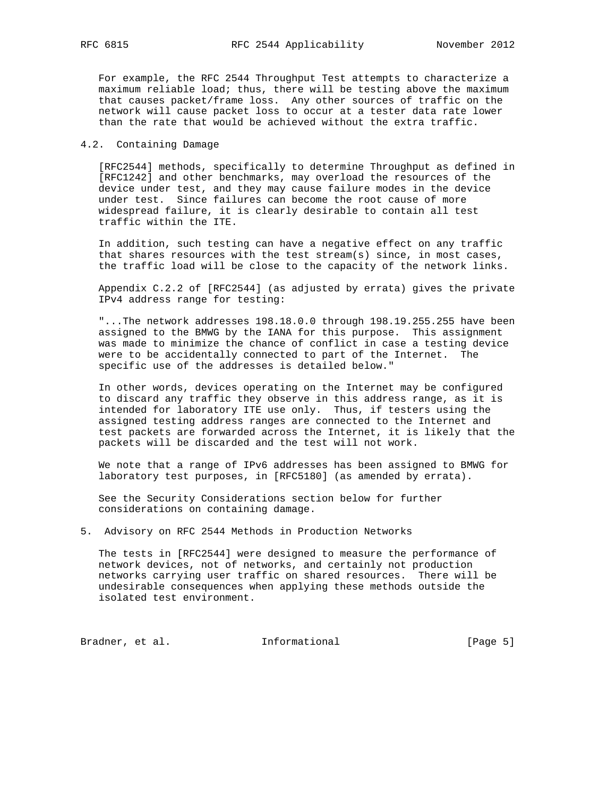For example, the RFC 2544 Throughput Test attempts to characterize a maximum reliable load; thus, there will be testing above the maximum that causes packet/frame loss. Any other sources of traffic on the network will cause packet loss to occur at a tester data rate lower than the rate that would be achieved without the extra traffic.

#### 4.2. Containing Damage

 [RFC2544] methods, specifically to determine Throughput as defined in [RFC1242] and other benchmarks, may overload the resources of the device under test, and they may cause failure modes in the device under test. Since failures can become the root cause of more widespread failure, it is clearly desirable to contain all test traffic within the ITE.

 In addition, such testing can have a negative effect on any traffic that shares resources with the test stream(s) since, in most cases, the traffic load will be close to the capacity of the network links.

 Appendix C.2.2 of [RFC2544] (as adjusted by errata) gives the private IPv4 address range for testing:

 "...The network addresses 198.18.0.0 through 198.19.255.255 have been assigned to the BMWG by the IANA for this purpose. This assignment was made to minimize the chance of conflict in case a testing device were to be accidentally connected to part of the Internet. The specific use of the addresses is detailed below."

 In other words, devices operating on the Internet may be configured to discard any traffic they observe in this address range, as it is intended for laboratory ITE use only. Thus, if testers using the assigned testing address ranges are connected to the Internet and test packets are forwarded across the Internet, it is likely that the packets will be discarded and the test will not work.

 We note that a range of IPv6 addresses has been assigned to BMWG for laboratory test purposes, in [RFC5180] (as amended by errata).

 See the Security Considerations section below for further considerations on containing damage.

5. Advisory on RFC 2544 Methods in Production Networks

 The tests in [RFC2544] were designed to measure the performance of network devices, not of networks, and certainly not production networks carrying user traffic on shared resources. There will be undesirable consequences when applying these methods outside the isolated test environment.

Bradner, et al. 1nformational [Page 5]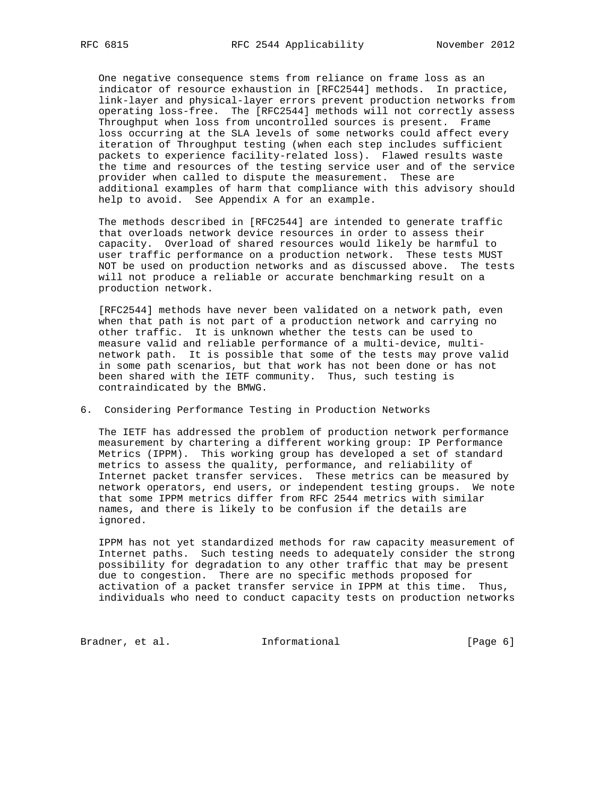One negative consequence stems from reliance on frame loss as an indicator of resource exhaustion in [RFC2544] methods. In practice, link-layer and physical-layer errors prevent production networks from operating loss-free. The [RFC2544] methods will not correctly assess Throughput when loss from uncontrolled sources is present. Frame loss occurring at the SLA levels of some networks could affect every iteration of Throughput testing (when each step includes sufficient packets to experience facility-related loss). Flawed results waste the time and resources of the testing service user and of the service provider when called to dispute the measurement. These are additional examples of harm that compliance with this advisory should help to avoid. See Appendix A for an example.

 The methods described in [RFC2544] are intended to generate traffic that overloads network device resources in order to assess their capacity. Overload of shared resources would likely be harmful to user traffic performance on a production network. These tests MUST NOT be used on production networks and as discussed above. The tests will not produce a reliable or accurate benchmarking result on a production network.

 [RFC2544] methods have never been validated on a network path, even when that path is not part of a production network and carrying no other traffic. It is unknown whether the tests can be used to measure valid and reliable performance of a multi-device, multi network path. It is possible that some of the tests may prove valid in some path scenarios, but that work has not been done or has not been shared with the IETF community. Thus, such testing is contraindicated by the BMWG.

#### 6. Considering Performance Testing in Production Networks

 The IETF has addressed the problem of production network performance measurement by chartering a different working group: IP Performance Metrics (IPPM). This working group has developed a set of standard metrics to assess the quality, performance, and reliability of Internet packet transfer services. These metrics can be measured by network operators, end users, or independent testing groups. We note that some IPPM metrics differ from RFC 2544 metrics with similar names, and there is likely to be confusion if the details are ignored.

 IPPM has not yet standardized methods for raw capacity measurement of Internet paths. Such testing needs to adequately consider the strong possibility for degradation to any other traffic that may be present due to congestion. There are no specific methods proposed for activation of a packet transfer service in IPPM at this time. Thus, individuals who need to conduct capacity tests on production networks

Bradner, et al. 1nformational [Page 6]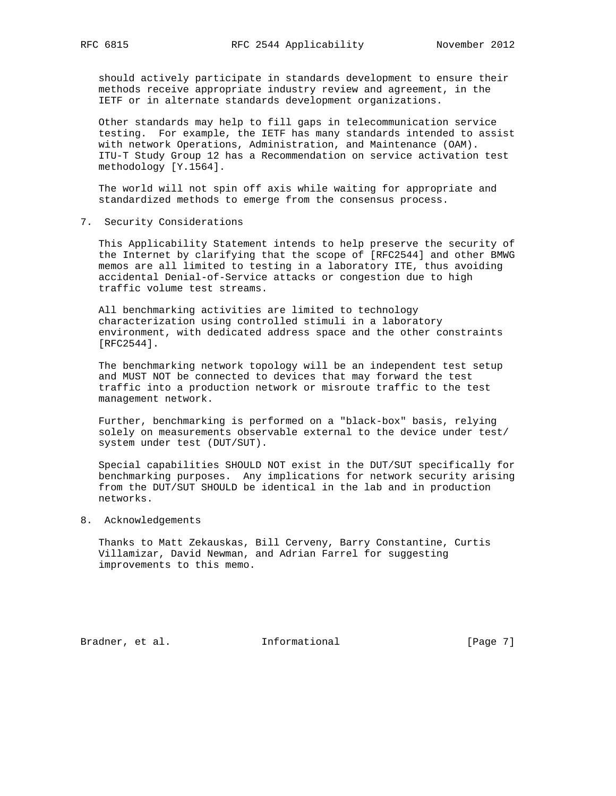should actively participate in standards development to ensure their methods receive appropriate industry review and agreement, in the IETF or in alternate standards development organizations.

 Other standards may help to fill gaps in telecommunication service testing. For example, the IETF has many standards intended to assist with network Operations, Administration, and Maintenance (OAM). ITU-T Study Group 12 has a Recommendation on service activation test methodology [Y.1564].

 The world will not spin off axis while waiting for appropriate and standardized methods to emerge from the consensus process.

7. Security Considerations

 This Applicability Statement intends to help preserve the security of the Internet by clarifying that the scope of [RFC2544] and other BMWG memos are all limited to testing in a laboratory ITE, thus avoiding accidental Denial-of-Service attacks or congestion due to high traffic volume test streams.

 All benchmarking activities are limited to technology characterization using controlled stimuli in a laboratory environment, with dedicated address space and the other constraints [RFC2544].

 The benchmarking network topology will be an independent test setup and MUST NOT be connected to devices that may forward the test traffic into a production network or misroute traffic to the test management network.

 Further, benchmarking is performed on a "black-box" basis, relying solely on measurements observable external to the device under test/ system under test (DUT/SUT).

 Special capabilities SHOULD NOT exist in the DUT/SUT specifically for benchmarking purposes. Any implications for network security arising from the DUT/SUT SHOULD be identical in the lab and in production networks.

8. Acknowledgements

 Thanks to Matt Zekauskas, Bill Cerveny, Barry Constantine, Curtis Villamizar, David Newman, and Adrian Farrel for suggesting improvements to this memo.

Bradner, et al. 1nformational [Page 7]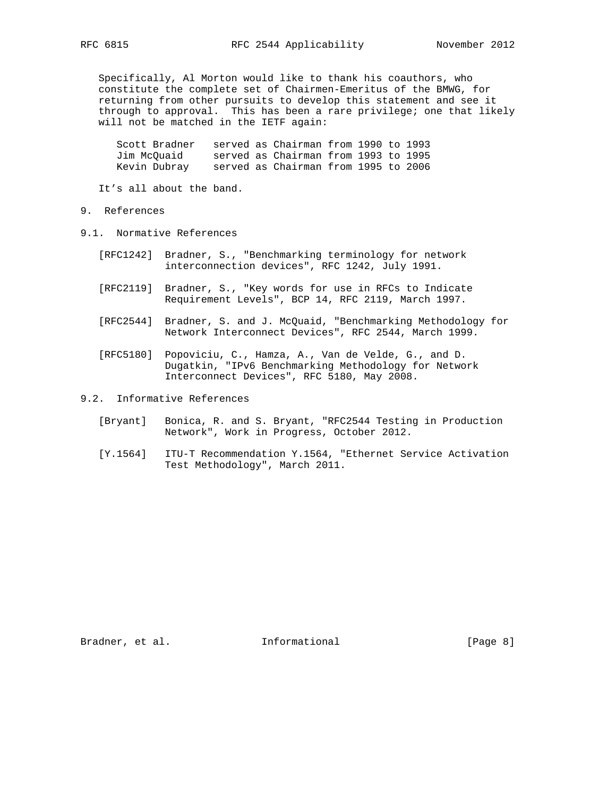Specifically, Al Morton would like to thank his coauthors, who constitute the complete set of Chairmen-Emeritus of the BMWG, for returning from other pursuits to develop this statement and see it through to approval. This has been a rare privilege; one that likely

 Scott Bradner served as Chairman from 1990 to 1993 Jim McQuaid served as Chairman from 1993 to 1995 Kevin Dubray served as Chairman from 1995 to 2006

It's all about the band.

will not be matched in the IETF again:

- 9. References
- 9.1. Normative References
	- [RFC1242] Bradner, S., "Benchmarking terminology for network interconnection devices", RFC 1242, July 1991.
	- [RFC2119] Bradner, S., "Key words for use in RFCs to Indicate Requirement Levels", BCP 14, RFC 2119, March 1997.
	- [RFC2544] Bradner, S. and J. McQuaid, "Benchmarking Methodology for Network Interconnect Devices", RFC 2544, March 1999.
	- [RFC5180] Popoviciu, C., Hamza, A., Van de Velde, G., and D. Dugatkin, "IPv6 Benchmarking Methodology for Network Interconnect Devices", RFC 5180, May 2008.
- 9.2. Informative References
	- [Bryant] Bonica, R. and S. Bryant, "RFC2544 Testing in Production Network", Work in Progress, October 2012.
	- [Y.1564] ITU-T Recommendation Y.1564, "Ethernet Service Activation Test Methodology", March 2011.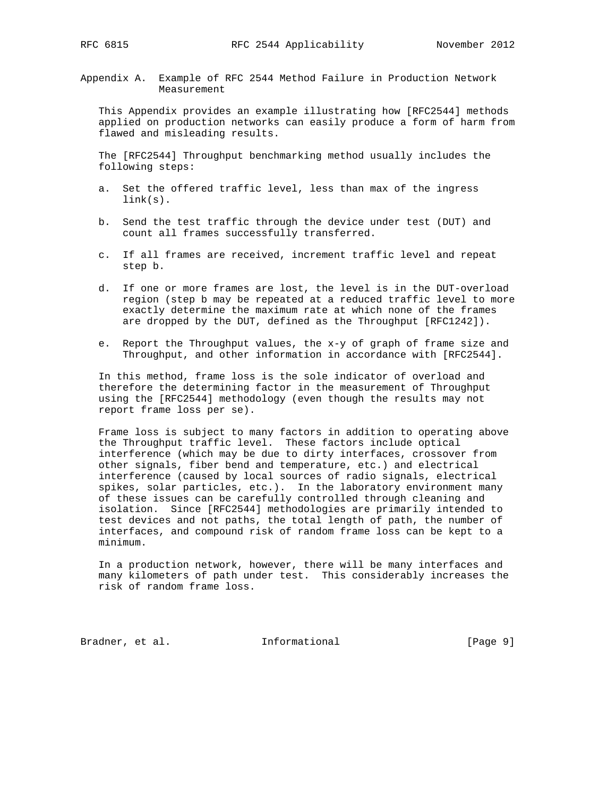- 
- Appendix A. Example of RFC 2544 Method Failure in Production Network Measurement

 This Appendix provides an example illustrating how [RFC2544] methods applied on production networks can easily produce a form of harm from flawed and misleading results.

 The [RFC2544] Throughput benchmarking method usually includes the following steps:

- a. Set the offered traffic level, less than max of the ingress link(s).
- b. Send the test traffic through the device under test (DUT) and count all frames successfully transferred.
- c. If all frames are received, increment traffic level and repeat step b.
- d. If one or more frames are lost, the level is in the DUT-overload region (step b may be repeated at a reduced traffic level to more exactly determine the maximum rate at which none of the frames are dropped by the DUT, defined as the Throughput [RFC1242]).
- e. Report the Throughput values, the x-y of graph of frame size and Throughput, and other information in accordance with [RFC2544].

 In this method, frame loss is the sole indicator of overload and therefore the determining factor in the measurement of Throughput using the [RFC2544] methodology (even though the results may not report frame loss per se).

 Frame loss is subject to many factors in addition to operating above the Throughput traffic level. These factors include optical interference (which may be due to dirty interfaces, crossover from other signals, fiber bend and temperature, etc.) and electrical interference (caused by local sources of radio signals, electrical spikes, solar particles, etc.). In the laboratory environment many of these issues can be carefully controlled through cleaning and isolation. Since [RFC2544] methodologies are primarily intended to test devices and not paths, the total length of path, the number of interfaces, and compound risk of random frame loss can be kept to a minimum.

 In a production network, however, there will be many interfaces and many kilometers of path under test. This considerably increases the risk of random frame loss.

Bradner, et al. 1nformational [Page 9]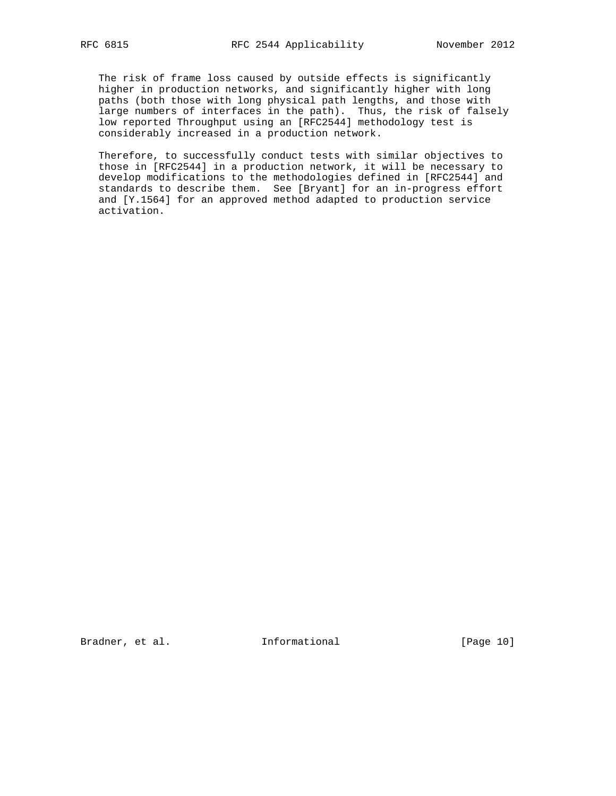The risk of frame loss caused by outside effects is significantly higher in production networks, and significantly higher with long paths (both those with long physical path lengths, and those with large numbers of interfaces in the path). Thus, the risk of falsely low reported Throughput using an [RFC2544] methodology test is considerably increased in a production network.

 Therefore, to successfully conduct tests with similar objectives to those in [RFC2544] in a production network, it will be necessary to develop modifications to the methodologies defined in [RFC2544] and standards to describe them. See [Bryant] for an in-progress effort and [Y.1564] for an approved method adapted to production service activation.